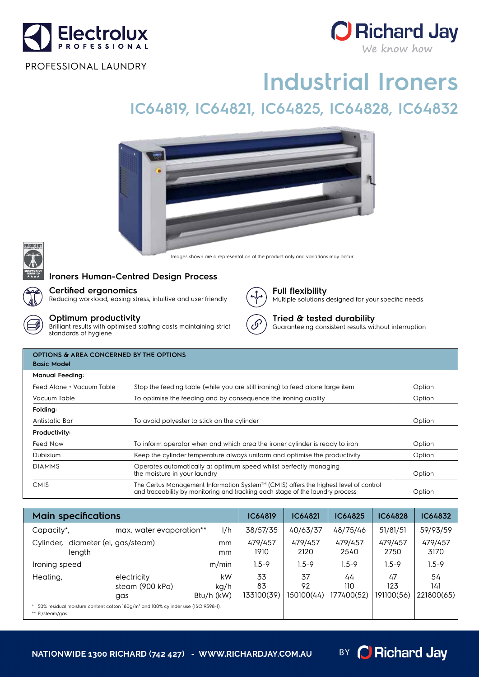



#### PROFESSIONAL LAUNDRY

# **Industrial Ironers**

# **IC64819, IC64821, IC64825, IC64828, IC64832**



Images shown are a representation of the product only and variations may occur.



### **Ironers Human-Centred Design Process**

#### **Certified ergonomics**

Reducing workload, easing stress, intuitive and user friendly

**Optimum productivity**

Brilliant results with optimised staffing costs maintaining strict standards of hygiene



**Full flexibility** Multiple solutions designed for your specific needs

## **Tried & tested durability**

Guaranteeing consistent results without interruption

| <b>OPTIONS &amp; AREA CONCERNED BY THE OPTIONS</b><br><b>Basic Model</b> |                                                                                                                                                                                                 |        |  |  |  |  |  |
|--------------------------------------------------------------------------|-------------------------------------------------------------------------------------------------------------------------------------------------------------------------------------------------|--------|--|--|--|--|--|
| <b>Manual Feeding:</b>                                                   |                                                                                                                                                                                                 |        |  |  |  |  |  |
| Feed Alone + Vacuum Table                                                | Stop the feeding table (while you are still ironing) to feed alone large item                                                                                                                   | Option |  |  |  |  |  |
| Vacuum Table                                                             | To optimise the feeding and by consequence the ironing quality                                                                                                                                  | Option |  |  |  |  |  |
| Folding:                                                                 |                                                                                                                                                                                                 |        |  |  |  |  |  |
| Antistatic Bar                                                           | To avoid polyester to stick on the cylinder                                                                                                                                                     | Option |  |  |  |  |  |
| Productivity:                                                            |                                                                                                                                                                                                 |        |  |  |  |  |  |
| Feed Now                                                                 | To inform operator when and which area the ironer cylinder is ready to iron                                                                                                                     | Option |  |  |  |  |  |
| Dubixium                                                                 | Keep the cylinder temperature always uniform and optimise the productivity                                                                                                                      | Option |  |  |  |  |  |
| <b>DIAMMS</b>                                                            | Operates automatically at optimum speed whilst perfectly managing<br>the moisture in your laundry                                                                                               | Option |  |  |  |  |  |
| <b>CMIS</b>                                                              | The Certus Management Information System <sup><math>TM</math></sup> (CMIS) offers the highest level of control<br>and traceability by monitoring and tracking each stage of the laundry process | Option |  |  |  |  |  |

| <b>Main specifications</b>                                                                                       |                                       |                          | <b>IC64819</b>         | <b>IC64821</b>         | <b>IC64825</b>          | <b>IC64828</b>          | <b>IC64832</b>          |
|------------------------------------------------------------------------------------------------------------------|---------------------------------------|--------------------------|------------------------|------------------------|-------------------------|-------------------------|-------------------------|
| Capacity*,                                                                                                       | max. water evaporation**              | I/h                      | 38/57/35               | 40/63/37               | 48/75/46                | 51/81/51                | 59/93/59                |
| Cylinder, diameter (el, gas/steam)<br>length                                                                     |                                       | mm<br>mm                 | 479/457<br>1910        | 479/457<br>2120        | 479/457<br>2540         | 479/457<br>2750         | 479/457<br>3170         |
| Ironing speed                                                                                                    |                                       | m/min                    | 1.5-9                  | $1.5 - 9$              | $1.5 - 9$               | $1.5 - 9$               | $1.5 - 9$               |
| Heating,                                                                                                         | electricity<br>steam (900 kPa)<br>gas | kW<br>kg/h<br>Btu/h (kW) | 33<br>83<br>133100(39) | 37<br>92<br>150100(44) | 44<br>110<br>177400(52) | 47<br>123<br>191100(56) | 54<br>141<br>221800(65) |
| 50% residual moisture content cotton 180q/m <sup>2</sup> and 100% cylinder use (ISO 9398-1).<br>** El/steam/gas. |                                       |                          |                        |                        |                         |                         |                         |